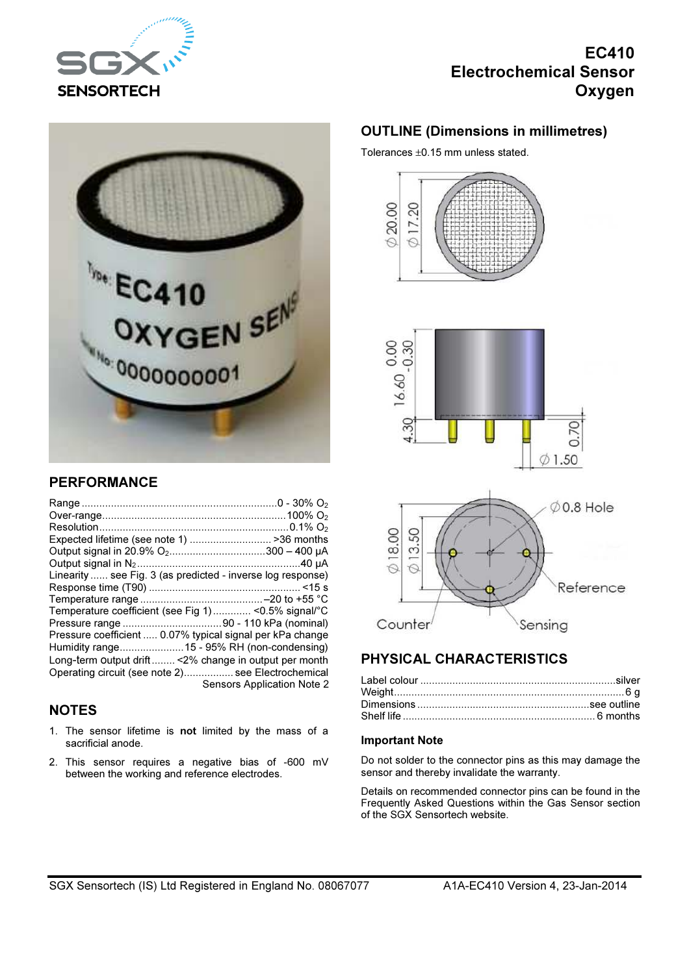

# EC410 Electrochemical Sensor Oxygen



## PERFORMANCE

| Expected lifetime (see note 1) >36 months                   |                            |
|-------------------------------------------------------------|----------------------------|
| Output signal in 20.9% O <sub>2</sub> 300 - 400 μA          |                            |
|                                                             |                            |
| Linearity  see Fig. 3 (as predicted - inverse log response) |                            |
|                                                             |                            |
|                                                             |                            |
| Temperature coefficient (see Fig 1)< 0.5% signal/°C         |                            |
|                                                             |                            |
| Pressure coefficient  0.07% typical signal per kPa change   |                            |
|                                                             |                            |
| Long-term output drift < 2% change in output per month      |                            |
| Operating circuit (see note 2) see Electrochemical          |                            |
|                                                             | Sensors Application Note 2 |

### **NOTES**

- 1. The sensor lifetime is not limited by the mass of a sacrificial anode.
- 2. This sensor requires a negative bias of -600 mV between the working and reference electrodes.

### OUTLINE (Dimensions in millimetres)

Tolerances ±0.15 mm unless stated.







# PHYSICAL CHARACTERISTICS

#### Important Note

Do not solder to the connector pins as this may damage the sensor and thereby invalidate the warranty.

Details on recommended connector pins can be found in the Frequently Asked Questions within the Gas Sensor section of the SGX Sensortech website.